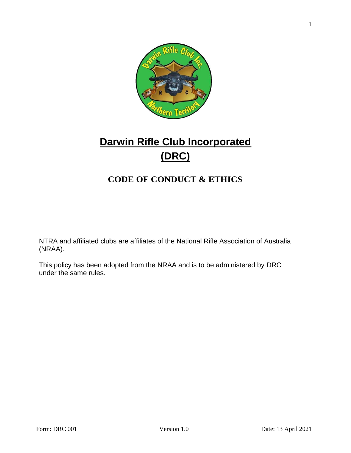

# **Darwin Rifle Club Incorporated (DRC)**

## **CODE OF CONDUCT & ETHICS**

NTRA and affiliated clubs are affiliates of the National Rifle Association of Australia (NRAA).

This policy has been adopted from the NRAA and is to be administered by DRC under the same rules.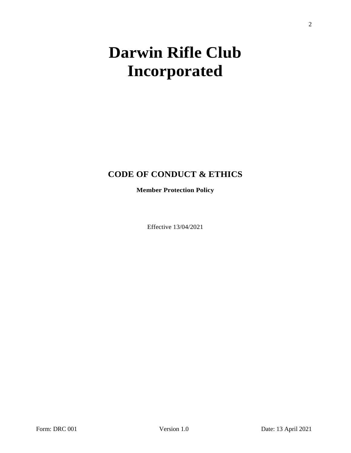# **Darwin Rifle Club Incorporated**

### **CODE OF CONDUCT & ETHICS**

**Member Protection Policy**

Effective 13/04/2021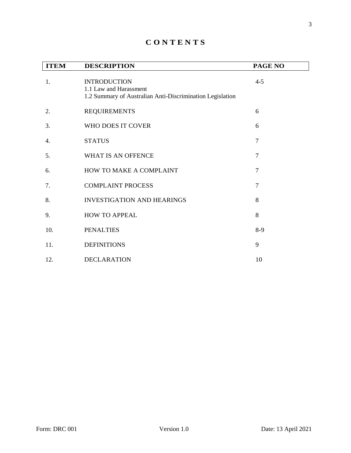| <b>ITEM</b> | <b>DESCRIPTION</b>                                                                                         | PAGE NO        |
|-------------|------------------------------------------------------------------------------------------------------------|----------------|
| 1.          | <b>INTRODUCTION</b><br>1.1 Law and Harassment<br>1.2 Summary of Australian Anti-Discrimination Legislation | $4 - 5$        |
| 2.          | <b>REQUIREMENTS</b>                                                                                        | 6              |
| 3.          | WHO DOES IT COVER                                                                                          | 6              |
| 4.          | <b>STATUS</b>                                                                                              | $\overline{7}$ |
| 5.          | WHAT IS AN OFFENCE                                                                                         | $\overline{7}$ |
| 6.          | HOW TO MAKE A COMPLAINT                                                                                    | $\overline{7}$ |
| 7.          | <b>COMPLAINT PROCESS</b>                                                                                   | 7              |
| 8.          | <b>INVESTIGATION AND HEARINGS</b>                                                                          | 8              |
| 9.          | <b>HOW TO APPEAL</b>                                                                                       | 8              |
| 10.         | <b>PENALTIES</b>                                                                                           | $8-9$          |
| 11.         | <b>DEFINITIONS</b>                                                                                         | 9              |
| 12.         | <b>DECLARATION</b>                                                                                         | 10             |

#### **C O N T E N T S**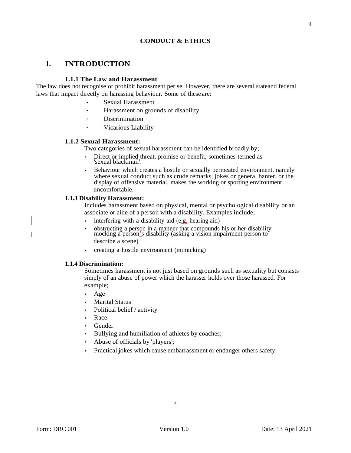#### **CONDUCT & ETHICS**

#### **1. INTRODUCTION**

#### **1.1.1 The Law and Harassment**

The law does not recognise or prohibit harassment per se. However, there are several stateand federal laws that impact directly on harassing behaviour. Some of these are:

- Sexual Harassment
- Harassment on grounds of disability
- · Discrimination
- · Vicarious Liability

#### **1.1.2 Sexual Harassment:**

Two categories of sexual harassment can be identified broadly by;

- Direct or implied threat, promise or benefit, sometimes termed as 'sexual blackmail'.
- Behaviour which creates a hostile or sexually permeated environment, namely where sexual conduct such as crude remarks, jokes or general banter, or the display of offensive material, makes the working or sporting environment uncomfortable.

#### **1.1.3 Disability Harassment:**

Includes harassment based on physical, mental or psychological disability or an associate or aide of a person with a disability. Examples include;

- interfering with a disability aid (e.g. hearing aid)
- obstructing a person in a manner that compounds his or her disability mocking a person's disability (asking a vision impairment person to describe a scene)
- creating a hostile environment (mimicking)

#### **1.1.4 Discrimination:**

Sometimes harassment is not just based on grounds such as sexuality but consists simply of an abuse of power which the harasser holds over those harassed. For example;

- Age
- **Marital Status**
- Political belief / activity
- Race
- Gender
- Bullying and humiliation of athletes by coaches;
- Abuse of officials by 'players';
- Practical jokes which cause embarrassment or endanger others safety

4

3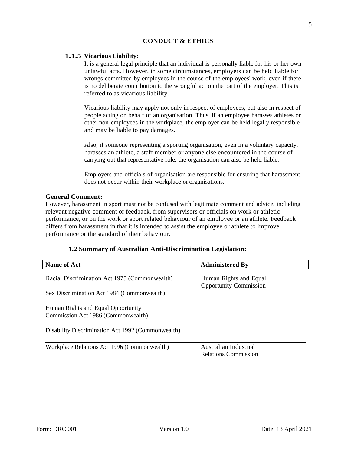#### **CONDUCT & ETHICS**

#### **1.1.5 Vicarious Liability:**

It is a general legal principle that an individual is personally liable for his or her own unlawful acts. However, in some circumstances, employers can be held liable for wrongs committed by employees in the course of the employees' work, even if there is no deliberate contribution to the wrongful act on the part of the employer. This is referred to as vicarious liability.

Vicarious liability may apply not only in respect of employees, but also in respect of people acting on behalf of an organisation. Thus, if an employee harasses athletes or other non-employees in the workplace, the employer can be held legally responsible and may be liable to pay damages.

Also, if someone representing a sporting organisation, even in a voluntary capacity, harasses an athlete, a staff member or anyone else encountered in the course of carrying out that representative role, the organisation can also be held liable.

Employers and officials of organisation are responsible for ensuring that harassment does not occur within their workplace or organisations.

#### **General Comment:**

However, harassment in sport must not be confused with legitimate comment and advice, including relevant negative comment or feedback, from supervisors or officials on work or athletic performance, or on the work or sport related behaviour of an employee or an athlete. Feedback differs from harassment in that it is intended to assist the employee or athlete to improve performance or the standard of their behaviour.

#### **1.2 Summary of Australian Anti-Discrimination Legislation:**

| <b>Name of Act</b>                                                                                                            | <b>Administered By</b>                                  |  |
|-------------------------------------------------------------------------------------------------------------------------------|---------------------------------------------------------|--|
| Racial Discrimination Act 1975 (Commonwealth)                                                                                 | Human Rights and Equal<br><b>Opportunity Commission</b> |  |
| Sex Discrimination Act 1984 (Commonwealth)                                                                                    |                                                         |  |
| Human Rights and Equal Opportunity<br>Commission Act 1986 (Commonwealth)<br>Disability Discrimination Act 1992 (Commonwealth) |                                                         |  |
| Workplace Relations Act 1996 (Commonwealth)                                                                                   | Australian Industrial<br><b>Relations Commission</b>    |  |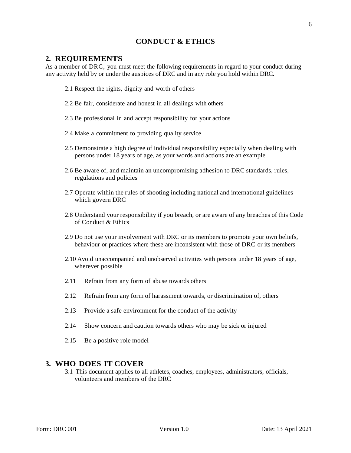#### **CONDUCT & ETHICS**

#### <span id="page-5-0"></span>**2. REQUIREMENTS**

As a member of DRC, you must meet the following requirements in regard to your conduct during any activity held by or under the auspices of DRC and in any role you hold within DRC.

- 2.1 Respect the rights, dignity and worth of others
- 2.2 Be fair, considerate and honest in all dealings with others
- 2.3 Be professional in and accept responsibility for your actions
- 2.4 Make a commitment to providing quality service
- 2.5 Demonstrate a high degree of individual responsibility especially when dealing with persons under 18 years of age, as your words and actions are an example
- 2.6 Be aware of, and maintain an uncompromising adhesion to DRC standards, rules, regulations and policies
- 2.7 Operate within the rules of shooting including national and international guidelines which govern DRC
- 2.8 Understand your responsibility if you breach, or are aware of any breaches of this Code of Conduct & Ethics
- 2.9 Do not use your involvement with DRC or its members to promote your own beliefs, behaviour or practices where these are inconsistent with those of DRC or its members
- 2.10 Avoid unaccompanied and unobserved activities with persons under 18 years of age, wherever possible
- 2.11 Refrain from any form of abuse towards others
- 2.12 Refrain from any form of harassment towards, or discrimination of, others
- 2.13 Provide a safe environment for the conduct of the activity
- 2.14 Show concern and caution towards others who may be sick or injured
- 2.15 Be a positive role model

#### <span id="page-5-1"></span>**3. WHO DOES IT COVER**

3.1 This document applies to all athletes, coaches, employees, administrators, officials, volunteers and members of the DRC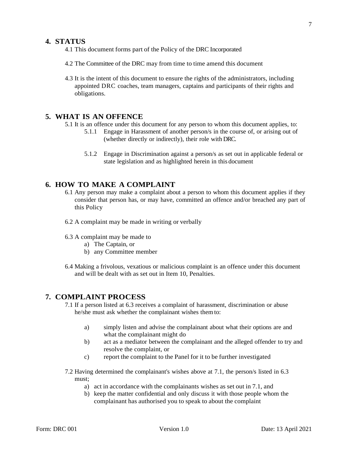#### <span id="page-6-0"></span>**4. STATUS**

- 4.1 This document forms part of the Policy of the DRC Incorporated
- 4.2 The Committee of the DRC may from time to time amend this document
- 4.3 It is the intent of this document to ensure the rights of the administrators, including appointed DRC coaches, team managers, captains and participants of their rights and obligations.

#### <span id="page-6-1"></span>**5. WHAT IS AN OFFENCE**

5.1 It is an offence under this document for any person to whom this document applies, to:

- 5.1.1 Engage in Harassment of another person/s in the course of, or arising out of (whether directly or indirectly), their role with DRC.
- 5.1.2 Engage in Discrimination against a person/s as set out in applicable federal or state legislation and as highlighted herein in this document

#### <span id="page-6-2"></span>**6. HOW TO MAKE A COMPLAINT**

- 6.1 Any person may make a complaint about a person to whom this document applies if they consider that person has, or may have, committed an offence and/or breached any part of this Policy
- 6.2 A complaint may be made in writing or verbally
- 6.3 A complaint may be made to
	- a) The Captain, or
	- b) any Committee member
- 6.4 Making a frivolous, vexatious or malicious complaint is an offence under this document and will be dealt with as set out in Item 10, Penalties.

#### <span id="page-6-3"></span>**7. COMPLAINT PROCESS**

- 7.1 If a person listed at 6.3 receives a complaint of harassment, discrimination or abuse he/she must ask whether the complainant wishes them to:
	- a) simply listen and advise the complainant about what their options are and what the complainant might do
	- b) act as a mediator between the complainant and the alleged offender to try and resolve the complaint, or
	- c) report the complaint to the Panel for it to be further investigated
- 7.2 Having determined the complainant's wishes above at 7.1, the person/s listed in 6.3 must;
	- a) act in accordance with the complainants wishes as set out in 7.1, and
	- b) keep the matter confidential and only discuss it with those people whom the complainant has authorised you to speak to about the complaint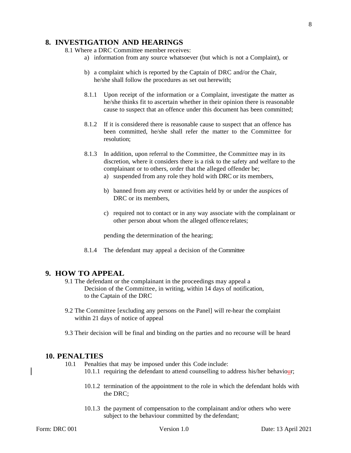8

#### <span id="page-7-0"></span>**8. INVESTIGATION AND HEARINGS**

8.1 Where a DRC Committee member receives:

- a) information from any source whatsoever (but which is not a Complaint), or
- b) a complaint which is reported by the Captain of DRC and/or the Chair, he/she shall follow the procedures as set out herewith;
- 8.1.1 Upon receipt of the information or a Complaint, investigate the matter as he/she thinks fit to ascertain whether in their opinion there is reasonable cause to suspect that an offence under this document has been committed;
- 8.1.2 If it is considered there is reasonable cause to suspect that an offence has been committed, he/she shall refer the matter to the Committee for resolution;
- 8.1.3 In addition, upon referral to the Committee, the Committee may in its discretion, where it considers there is a risk to the safety and welfare to the complainant or to others, order that the alleged offender be;
	- a) suspended from any role they hold with DRC or its members,
	- b) banned from any event or activities held by or under the auspices of DRC or its members.
	- c) required not to contact or in any way associate with the complainant or other person about whom the alleged offence relates;

pending the determination of the hearing;

8.1.4 The defendant may appeal a decision of the Committee

#### <span id="page-7-1"></span>**9. HOW TO APPEAL**

- 9.1 The defendant or the complainant in the proceedings may appeal a Decision of the Committee, in writing, within 14 days of notification, to the Captain of the DRC
- 9.2 The Committee [excluding any persons on the Panel] will re-hear the complaint within 21 days of notice of appeal
- 9.3 Their decision will be final and binding on the parties and no recourse will be heard

#### **10. PENALTIES**

- 10.1 Penalties that may be imposed under this Code include:
	- 10.1.1 requiring the defendant to attend counselling to address his/her behaviour;
	- 10.1.2 termination of the appointment to the role in which the defendant holds with the DRC;
	- 10.1.3 the payment of compensation to the complainant and/or others who were subject to the behaviour committed by the defendant;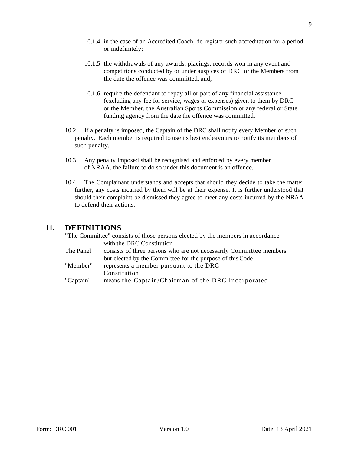- 10.1.4 in the case of an Accredited Coach, de-register such accreditation for a period or indefinitely;
- 10.1.5 the withdrawals of any awards, placings, records won in any event and competitions conducted by or under auspices of DRC or the Members from the date the offence was committed, and,
- 10.1.6 require the defendant to repay all or part of any financial assistance (excluding any fee for service, wages or expenses) given to them by DRC or the Member, the Australian Sports Commission or any federal or State funding agency from the date the offence was committed.
- 10.2 If a penalty is imposed, the Captain of the DRC shall notify every Member of such penalty. Each member is required to use its best endeavours to notify its members of such penalty.
- 10.3 Any penalty imposed shall be recognised and enforced by every member of NRAA, the failure to do so under this document is an offence.
- 10.4 The Complainant understands and accepts that should they decide to take the matter further, any costs incurred by them will be at their expense. It is further understood that should their complaint be dismissed they agree to meet any costs incurred by the NRAA to defend their actions.

#### <span id="page-8-0"></span>**11. DEFINITIONS**

"The Committee" consists of those persons elected by the members in accordance with the DRC Constitution The Panel" consists of three persons who are not necessarily Committee members but elected by the Committee for the purpose of this Code "Member" represents a member pursuant to the DRC Constitution "Captain" means the Captain/Chairman of the DRC Incorporated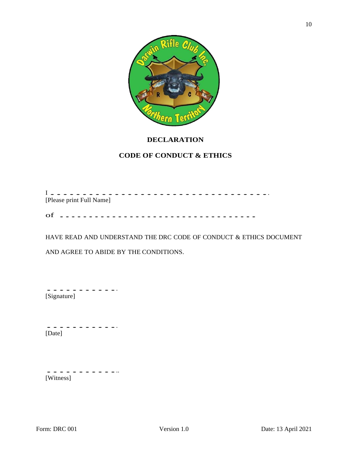

#### **DECLARATION**

#### **CODE OF CONDUCT & ETHICS**

<sup>I</sup> ................................... [Please print Full Name] of ..................................

HAVE READ AND UNDERSTAND THE DRC CODE OF CONDUCT & ETHICS DOCUMENT

AND AGREE TO ABIDE BY THE CONDITIONS.

............ [Signature]

............ [Date]

............. [Witness]